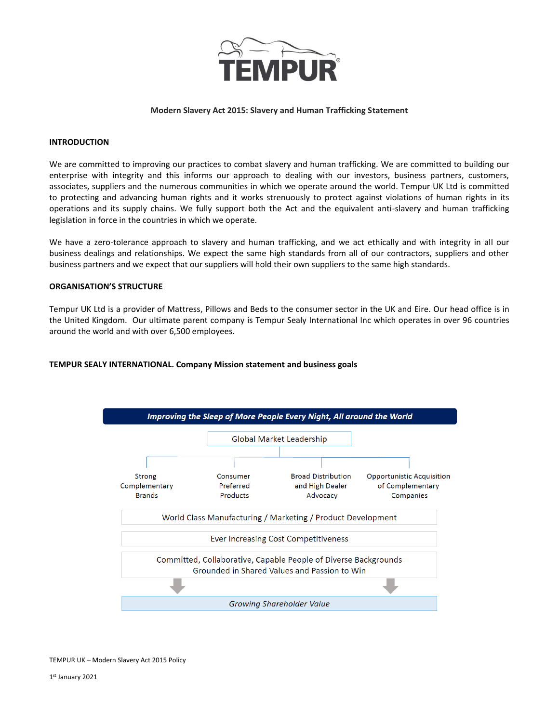

# **Modern Slavery Act 2015: Slavery and Human Trafficking Statement**

# **INTRODUCTION**

We are committed to improving our practices to combat slavery and human trafficking. We are committed to building our enterprise with integrity and this informs our approach to dealing with our investors, business partners, customers, associates, suppliers and the numerous communities in which we operate around the world. Tempur UK Ltd is committed to protecting and advancing human rights and it works strenuously to protect against violations of human rights in its operations and its supply chains. We fully support both the Act and the equivalent anti-slavery and human trafficking legislation in force in the countries in which we operate.

We have a zero-tolerance approach to slavery and human trafficking, and we act ethically and with integrity in all our business dealings and relationships. We expect the same high standards from all of our contractors, suppliers and other business partners and we expect that our suppliers will hold their own suppliers to the same high standards.

### **ORGANISATION'S STRUCTURE**

Tempur UK Ltd is a provider of Mattress, Pillows and Beds to the consumer sector in the UK and Eire. Our head office is in the United Kingdom. Our ultimate parent company is Tempur Sealy International Inc which operates in over 96 countries around the world and with over 6,500 employees.

# **TEMPUR SEALY INTERNATIONAL. Company Mission statement and business goals**

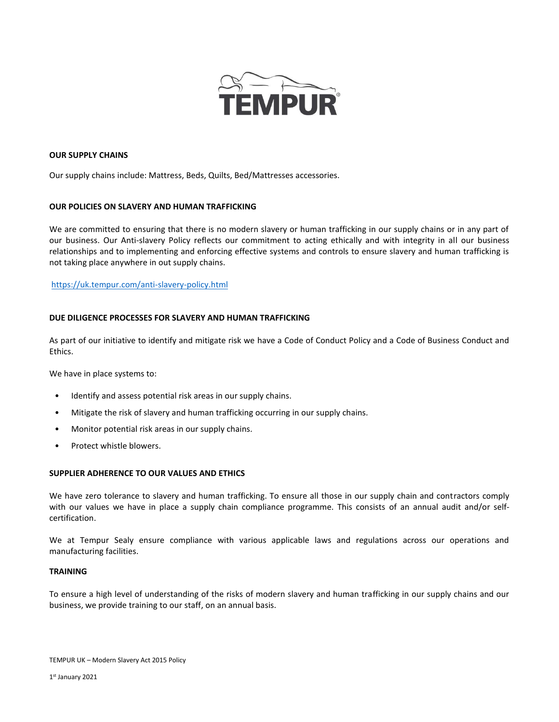

# **OUR SUPPLY CHAINS**

Our supply chains include: Mattress, Beds, Quilts, Bed/Mattresses accessories.

### **OUR POLICIES ON SLAVERY AND HUMAN TRAFFICKING**

We are committed to ensuring that there is no modern slavery or human trafficking in our supply chains or in any part of our business. Our Anti-slavery Policy reflects our commitment to acting ethically and with integrity in all our business relationships and to implementing and enforcing effective systems and controls to ensure slavery and human trafficking is not taking place anywhere in out supply chains.

# <https://uk.tempur.com/anti-slavery-policy.html>

### **DUE DILIGENCE PROCESSES FOR SLAVERY AND HUMAN TRAFFICKING**

As part of our initiative to identify and mitigate risk we have a Code of Conduct Policy and a Code of Business Conduct and Ethics.

We have in place systems to:

- Identify and assess potential risk areas in our supply chains.
- Mitigate the risk of slavery and human trafficking occurring in our supply chains.
- Monitor potential risk areas in our supply chains.
- Protect whistle blowers.

# **SUPPLIER ADHERENCE TO OUR VALUES AND ETHICS**

We have zero tolerance to slavery and human trafficking. To ensure all those in our supply chain and contractors comply with our values we have in place a supply chain compliance programme. This consists of an annual audit and/or selfcertification.

We at Tempur Sealy ensure compliance with various applicable laws and regulations across our operations and manufacturing facilities.

### **TRAINING**

To ensure a high level of understanding of the risks of modern slavery and human trafficking in our supply chains and our business, we provide training to our staff, on an annual basis.